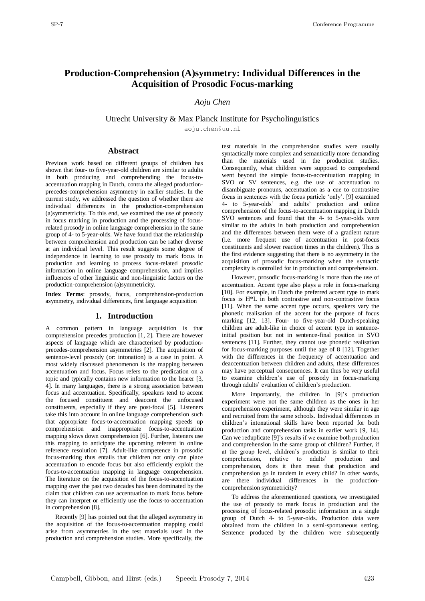# **Production-Comprehension (A)symmetry: Individual Differences in the Acquisition of Prosodic Focus-marking**

*Aoju Chen*

Utrecht University & Max Planck Institute for Psycholinguistics

aoju.chen@uu.nl

# **Abstract**

Previous work based on different groups of children has shown that four- to five-year-old children are similar to adults in both producing and comprehending the focus-toaccentuation mapping in Dutch, contra the alleged productionprecedes-comprehension asymmetry in earlier studies. In the current study, we addressed the question of whether there are individual differences in the production-comprehension (a)symmetricity. To this end, we examined the use of prosody in focus marking in production and the processing of focusrelated prosody in online language comprehension in the same group of 4- to 5-year-olds. We have found that the relationship between comprehension and production can be rather diverse at an individual level. This result suggests some degree of independence in learning to use prosody to mark focus in production and learning to process focus-related prosodic information in online language comprehension, and implies influences of other linguistic and non-linguistic factors on the production-comprehension (a)symmetricity.

**Index Terms**: prosody, focus, comprehension-production asymmetry, individual differences, first language acquisition

# **1. Introduction**

A common pattern in language acquisition is that comprehension precedes production  $[1, 2]$ . There are however aspects of language which are characterised by productionprecedes-comprehension asymmetries [2]. The acquisition of sentence-level prosody (or: intonation) is a case in point. A most widely discussed phenomenon is the mapping between accentuation and focus. Focus refers to the predication on a topic and typically contains new information to the hearer [3, 4]. In many languages, there is a strong association between focus and accentuation. Specifically, speakers tend to accent the focused constituent and deaccent the unfocused constituents, especially if they are post-focal [5]. Listeners take this into account in online language comprehension such that appropriate focus-to-accentuation mapping speeds up comprehension and inappropriate focus-to-accentuation mapping slows down comprehension [6]. Further, listeners use this mapping to anticipate the upcoming referent in online reference resolution [7]. Adult-like competence in prosodic focus-marking thus entails that children not only can place accentuation to encode focus but also efficiently exploit the focus-to-accentuation mapping in language comprehension. The literature on the acquisition of the focus-to-accentuation mapping over the past two decades has been dominated by the claim that children can use accentuation to mark focus before they can interpret or efficiently use the focus-to-accentuation in comprehension [8].

Recently [9] has pointed out that the alleged asymmetry in the acquisition of the focus-to-accentuation mapping could arise from asymmetries in the test materials used in the production and comprehension studies. More specifically, the

test materials in the comprehension studies were usually syntactically more complex and semantically more demanding than the materials used in the production studies. Consequently, what children were supposed to comprehend went beyond the simple focus-to-accentuation mapping in SVO or SV sentences, e.g. the use of accentuation to disambiguate pronouns, accentuation as a cue to contrastive focus in sentences with the focus particle 'only'. [9] examined 4- to 5-year-olds' and adults' production and online comprehension of the focus-to-accentuation mapping in Dutch SVO sentences and found that the 4- to 5-year-olds were similar to the adults in both production and comprehension and the differences between them were of a gradient nature (i.e. more frequent use of accentuation in post-focus constituents and slower reaction times in the children). This is the first evidence suggesting that there is no asymmetry in the acquisition of prosodic focus-marking when the syntactic complexity is controlled for in production and comprehension.

However, prosodic focus-marking is more than the use of accentuation. Accent type also plays a role in focus-marking [10]. For example, in Dutch the preferred accent type to mark focus is H\*L in both contrastive and non-contrastive focus [11]. When the same accent type occurs, speakers vary the phonetic realisation of the accent for the purpose of focus marking [12, 13]. Four- to five-year-old Dutch-speaking children are adult-like in choice of accent type in sentenceinitial position but not in sentence-final position in SVO sentences [11]. Further, they cannot use phonetic realisation for focus-marking purposes until the age of 8 [12]. Together with the differences in the frequency of accentuation and deaccentuation between children and adults, these differences may have perceptual consequences. It can thus be very useful to examine children's use of prosody in focus-marking through adults' evaluation of children's production.

More importantly, the children in [9]'s production experiment were not the same children as the ones in her comprehension experiment, although they were similar in age and recruited from the same schools. Individual differences in children's intonational skills have been reported for both production and comprehension tasks in earlier work [9, 14]. Can we reduplicate [9]'s results if we examine both production and comprehension in the same group of children? Further, if at the group level, children's production is similar to their comprehension, relative to adults' production and comprehension, does it then mean that production and comprehension go in tandem in every child? In other words, are there individual differences in the productioncomprehension symmetricity?

To address the aforementioned questions, we investigated the use of prosody to mark focus in production and the processing of focus-related prosodic information in a single group of Dutch 4- to 5-year-olds. Production data were obtained from the children in a semi-spontaneous setting. Sentence produced by the children were subsequently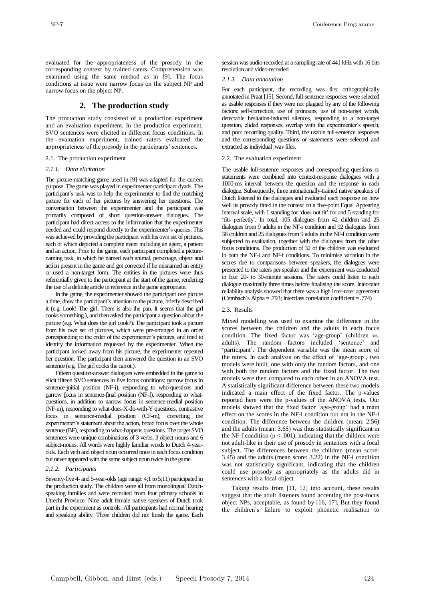evaluated for the appropriateness of the prosody in the corresponding context by trained raters. Comprehension was examined using the same method as in [9]. The focus conditions at issue were narrow focus on the subject NP and narrow focus on the object NP.

# **2. The production study**

The production study consisted of a production experiment and an evaluation experiment. In the production experiment, SVO sentences were elicited in different focus conditions. In the evaluation experiment, trained raters evaluated the appropriateness of the prosody in the participants' sentences.

#### 2.1. The production experiment

#### *2.1.1. Data elicitation*

The picture-matching game used in [9] was adapted for the current purpose. The game was played in experimenter-participant dyads. The participant's task was to help the experimenter to find the matching picture for each of her pictures by answering her questions. The conversation between the experimenter and the participant was primarily composed of short question-answer dialogues. The participant had direct access to the information that the experimenter needed and could respond directly to the experimenter's queries. This was achieved by providing the participant with his own set of pictures, each of which depicted a complete event including an agent, a patient and an action. Prior to the game, each participant completed a picturenaming task, in which he named each animal, personage, object and action present in the game and got corrected if he misnamed an entity or used a non-target form. The entities in the pictures were thus referentially given to the participant at the start of the game, rendering the use of a definite article in reference in the game appropriate.

In the game, the experimenter showed the participant one picture a time, drew the participant's attention to the picture, briefly described it (e.g. Look! The girl. There is also the pan. It seems that the girl cooks something.), and then asked the participant a question about the picture (e.g. What does the girl cook?). The participant took a picture from his own set of pictures, which were pre-arranged in an order corresponding to the order of the experimenter's pictures, and tried to identify the information requested by the experimenter. When the participant looked away from his picture, the experimenter repeated her question. The participant then answered the question in an SVO sentence (e.g. The girl cooks the carrot.).

Fifteen question-answer dialogues were embedded in the game to elicit fifteen SVO sentences in five focus conditions: narrow focus in sentence-initial position (NF-i), responding to who-questions and narrow focus in sentence-final position (NF-f), responding to whatquestions, in addition to narrow focus in sentence-medial position (NF-m), responding to what-does-X-do-with-Y questions, contrastive focus in sentence-medial position (CF-m), correcting the experimenter's statement about the action, broad focus over the whole sentence (BF), responding to what-happens questions. The target SVO sentences were unique combinations of 3 verbs, 3 object-nouns and 6 subject-nouns. All words were highly familiar words to Dutch 4-yearolds. Each verb and object noun occurred once in each focus condition but never appeared with the same subject noun twice in the game.

#### *2.1.2. Participants*

Seventy-five 4- and 5-year-olds (age range: 4;1 to 5;11) participated in the production study. The children were all from monolingual Dutchspeaking families and were recruited from four primary schools in Utrecht Province. Nine adult female native speakers of Dutch took part in the experiment as controls. All participants had normal hearing and speaking ability. Three children did not finish the game. Each session was audio-recorded at a sampling rate of 44.l kHz with 16 bits resolution and video-recorded.

#### *2.1.3. Data annotation*

For each participant, the recording was first orthographically annotated in Praat [15]. Second, full-sentence responses were selected as usable responses if they were not plagued by any of the following factors: self-correction, use of pronouns, use of non-target words, detectable hesitation-induced silences, responding to a non-target question, elided responses, overlap with the experimenter's speech, and poor recording quality. Third, the usable full-sentence responses and the corresponding questions or statements were selected and extracted as individual .wav files.

#### 2.2. The evaluation experiment

The usable full-sentence responses and corresponding questions or statements were combined into context-response dialogues with a 1000-ms interval between the question and the response in each dialogue. Subsequently, three intonationally-trained native speakers of Dutch listened to the dialogues and evaluated each response on how well its prosody fitted in the context on a five-point Equal Appearing Interval scale, with 1 standing for 'does not fit' for and 5 standing for 'fits perfectly'. In total, 105 dialogues from 42 children and 25 dialogues from 9 adults in the NF-i condition and 92 dialogues from 36 children and 25 dialogues from 9 adults in the NF-f condition were subjected to evaluation, together with the dialogues from the other focus conditions. The production of 32 of the children was evaluated in both the NF-i and NF-f conditions. To minimise variation in the scores due to comparisons between speakers, the dialogues were presented to the raters per speaker and the experiment was conducted in four 20- to 30-minute sessions. The raters could listen to each dialogue maximally three times before finalising the score. Inter-rater reliability analysis showed that there was a high inter-rater agreement (Cronbach's Alpha = .793; Interclass correlation coefficient = .774)

#### 2.3. Results

Mixed modelling was used to examine the difference in the scores between the children and the adults in each focus condition. The fixed factor was 'age-group' (children vs. adults). The random factors included 'sentence' and 'participant'. The dependent variable was the mean score of the raters. In each analysis on the effect of 'age-group', two models were built, one with only the random factors, and one with both the random factors and the fixed factor. The two models were then compared to each other in an ANOVA test. A statistically significant difference between these two models indicated a main effect of the fixed factor. The p-values reported here were the p-values of the ANOVA tests. Our models showed that the fixed factor 'age-group' had a main effect on the scores in the NF-i condition but not in the NF-f condition. The difference between the children (mean: 2.56) and the adults (mean: 3.65) was thus statistically significant in the NF-f condition ( $p < .001$ ), indicating that the children were not adult-like in their use of prosody in sentences with a focal subject. The differences between the children (mean score: 3.45) and the adults (mean score: 3.22) in the NF-i condition was not statistically significant, indicating that the children could use prosody as appropriately as the adults did in sentences with a focal object.

Taking results from [11, 12] into account, these results suggest that the adult listeners found accenting the post-focus object NPs, acceptable, as found by [16, 17]. But they found the children's failure to exploit phonetic realisation to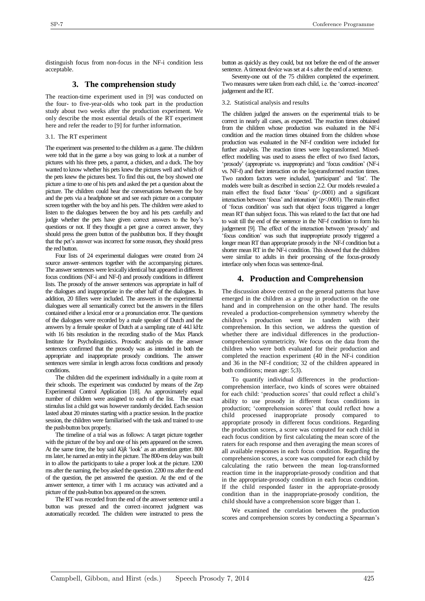distinguish focus from non-focus in the NF-i condition less acceptable.

# **3. The comprehension study**

The reaction-time experiment used in [9] was conducted on the four- to five-year-olds who took part in the production study about two weeks after the production experiment. We only describe the most essential details of the RT experiment here and refer the reader to [9] for further information.

3.1. The RT experiment

The experiment was presented to the children as a game. The children were told that in the game a boy was going to look at a number of pictures with his three pets, a parrot, a chicken, and a duck. The boy wanted to know whether his pets knew the pictures well and which of the pets knew the pictures best. To find this out, the boy showed one picture a time to one of his pets and asked the pet a question about the picture. The children could hear the conversations between the boy and the pets via a headphone set and see each picture on a computer screen together with the boy and his pets. The children were asked to listen to the dialogues between the boy and his pets carefully and judge whether the pets have given correct answers to the boy's questions or not. If they thought a pet gave a correct answer, they should press the green button of the pushbutton box. If they thought that the pet's answer was incorrect for some reason, they should press the red button.

Four lists of 24 experimental dialogues were created from 24 source answer–sentences together with the accompanying pictures. The answer sentences were lexically identical but appeared in different focus conditions (NF-i and NF-f) and prosody conditions in different lists. The prosody of the answer sentences was appropriate in half of the dialogues and inappropriate in the other half of the dialogues. In addition, 20 fillers were included. The answers in the experimental dialogues were all semantically correct but the answers in the fillers contained either a lexical error or a pronunciation error. The questions of the dialogues were recorded by a male speaker of Dutch and the answers by a female speaker of Dutch at a sampling rate of 44.l kHz with 16 bits resolution in the recording studio of the Max Planck Institute for Psycholinguistics. Prosodic analysis on the answer sentences confirmed that the prosody was as intended in both the appropriate and inappropriate prosody conditions. The answer sentences were similar in length across focus conditions and prosody conditions.

The children did the experiment individually in a quite room at their schools. The experiment was conducted by means of the Zep Experimental Control Application [18]. An approximately equal number of children were assigned to each of the list. The exact stimulus list a child got was however randomly decided. Each session lasted about 20 minutes starting with a practice session. In the practice session, the children were familiarised with the task and trained to use the push-button box properly.

The timeline of a trial was as follows: A target picture together with the picture of the boy and one of his pets appeared on the screen. At the same time, the boy said *Kijk* 'look' as an attention getter. 800 ms later, he named an entity in the picture. The 800-ms delay was built in to allow the participants to take a proper look at the picture. 1200 ms after the naming, the boy asked the question. 2200 ms after the end of the question, the pet answered the question. At the end of the answer sentence, a timer with 1 ms accuracy was activated and a picture of the push-button box appeared on the screen.

The RT was recorded from the end of the answer sentence until a button was pressed and the correct–incorrect judgment was automatically recorded. The children were instructed to press the button as quickly as they could, but not before the end of the answer sentence. A timeout device was set at 4 s after the end of a sentence.

Seventy-one out of the 75 children completed the experiment. Two measures were taken from each child, i.e. the 'correct–incorrect' judgement and the RT.

3.2. Statistical analysis and results

The children judged the answers on the experimental trials to be correct in nearly all cases, as expected. The reaction times obtained from the children whose production was evaluated in the NF-i condition and the reaction times obtained from the children whose production was evaluated in the NF-f condition were included for further analysis. The reaction times were log-transformed. Mixedeffect modelling was used to assess the effect of two fixed factors, 'prosody' (appropriate vs. inappropriate) and 'focus condition' (NF-i vs. NF-f) and their interaction on the log-transformed reaction times. Two random factors were included, 'participant' and 'list'. The models were built as described in section 2.2. Our models revealed a main effect the fixed factor 'focus' (p<.0001) and a significant interaction between 'focus' and intonation' (p<.0001). The main effect of 'focus condition' was such that object focus triggered a longer mean RT than subject focus. This was related to the fact that one had to wait till the end of the sentence in the NF-f condition to form his judgement [9]. The effect of the interaction between 'prosody' and 'focus condition' was such that inappropriate prosody triggered a longer mean RT than appropriate prosody in the NF-f condition but a shorter mean RT in the NF-i condition. This showed that the children were similar to adults in their processing of the focus-prosody interface only when focus was sentence-final.

### **4. Production and Comprehension**

The discussion above centred on the general patterns that have emerged in the children as a group in production on the one hand and in comprehension on the other hand. The results revealed a production-comprehension symmetry whereby the children's production went in tandem with their comprehension. In this section, we address the question of whether there are individual differences in the productioncomprehension symmetricity. We focus on the data from the children who were both evaluated for their production and completed the reaction experiment (40 in the NF-i condition and 36 in the NF-f condition; 32 of the children appeared in both conditions; mean age: 5;3).

To quantify individual differences in the productioncomprehension interface, two kinds of scores were obtained for each child: 'production scores' that could reflect a child's ability to use prosody in different focus conditions in production; 'comprehension scores' that could reflect how a child processed inappropriate prosody compared to appropriate prosody in different focus conditions. Regarding the production scores, a score was computed for each child in each focus condition by first calculating the mean score of the raters for each response and then averaging the mean scores of all available responses in each focus condition. Regarding the comprehension scores, a score was computed for each child by calculating the ratio between the mean log-transformed reaction time in the inappropriate-prosody condition and that in the appropriate-prosody condition in each focus condition. If the child responded faster in the appropriate-prosody condition than in the inappropriate-prosody condition, the child should have a comprehension score bigger than 1.

We examined the correlation between the production scores and comprehension scores by conducting a Spearman's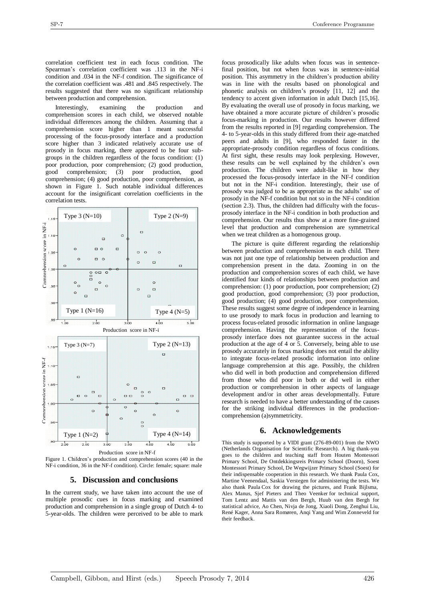correlation coefficient test in each focus condition. The Spearman's correlation coefficient was .113 in the NF-i condition and .034 in the NF-f condition. The significance of the correlation coefficient was .481 and .845 respectively. The results suggested that there was no significant relationship between production and comprehension.

Interestingly, examining the production and comprehension scores in each child, we observed notable individual differences among the children. Assuming that a comprehension score higher than 1 meant successful processing of the focus-prosody interface and a production score higher than 3 indicated relatively accurate use of prosody in focus marking, there appeared to be four subgroups in the children regardless of the focus condition: (1) poor production, poor comprehension; (2) good production, good comprehension; (3) poor production, good good comprehension; (3) poor production, good comprehension; (4) good production, poor comprehension, as shown in Figure 1. Such notable individual differences account for the insignificant correlation coefficients in the correlation tests.



Figure 1. Children's production and comprehension scores (40 in the NF-i condition, 36 in the NF-f condition). Circle: female; square: male

#### **5. Discussion and conclusions**

In the current study, we have taken into account the use of multiple prosodic cues in focus marking and examined production and comprehension in a single group of Dutch 4- to 5-year-olds. The children were perceived to be able to mark

focus prosodically like adults when focus was in sentencefinal position, but not when focus was in sentence-initial position. This asymmetry in the children's production ability was in line with the results based on phonological and phonetic analysis on children's prosody [11, 12] and the tendency to accent given information in adult Dutch [15,16]. By evaluating the overall use of prosody in focus marking, we have obtained a more accurate picture of children's prosodic focus-marking in production. Our results however differed from the results reported in [9] regarding comprehension. The 4- to 5-year-olds in this study differed from their age-matched peers and adults in [9], who responded faster in the appropriate-prosody condition regardless of focus conditions. At first sight, these results may look perplexing. However, these results can be well explained by the children's own production. The children were adult-like in how they processed the focus-prosody interface in the NF-f condition but not in the NF-i condition. Interestingly, their use of prosody was judged to be as appropriate as the adults' use of prosody in the NF-f condition but not so in the NF-i condition (section 2.3). Thus, the children had difficulty with the focusprosody interface in the NF-i condition in both production and comprehension. Our results thus show at a more fine-grained level that production and comprehension are symmetrical when we treat children as a homogenous group.

The picture is quite different regarding the relationship between production and comprehension in each child. There was not just one type of relationship between production and comprehension present in the data. Zooming in on the production and comprehension scores of each child, we have identified four kinds of relationships between production and comprehension: (1) poor production, poor comprehension; (2) good production, good comprehension; (3) poor production, good production; (4) good production, poor comprehension. These results suggest some degree of independence in learning to use prosody to mark focus in production and learning to process focus-related prosodic information in online language comprehension. Having the representation of the focusprosody interface does not guarantee success in the actual production at the age of 4 or 5. Conversely, being able to use prosody accurately in focus marking does not entail the ability to integrate focus-related prosodic information into online language comprehension at this age. Possibly, the children who did well in both production and comprehension differed from those who did poor in both or did well in either production or comprehension in other aspects of language development and/or in other areas developmentally. Future research is needed to have a better understanding of the causes for the striking individual differences in the productioncomprehension (a)symmetricity.

#### **6. Acknowledgements**

This study is supported by a VIDI grant (276-89-001) from the NWO (Netherlands Organisation for Scientific Research). A big thank-you goes to the children and teaching staff from Houten Montessori Primary School, De Ontdekkingsreis Primary School (Doorn), Soest Montessori Primary School, De Wegwijzer Primary School (Soest) for their indispensable cooperation in this research. We thank Paula Cox, Martine Veenendaal, Saskia Verstegen for administering the tests. We also thank Paula Cox for drawing the pictures, and Frank Bijlsma, Alex Manus, Sjef Pieters and Theo Veenker for technical support, Tom Lentz and Mattis van den Bergh, Huub van den Bergh for statistical advice, Ao Chen, Nivja de Jong, Xiaoli Dong, Zenghui Liu, René Kager, Anna Sara Romøren, Anqi Yang and Wim Zonneveld for their feedback.